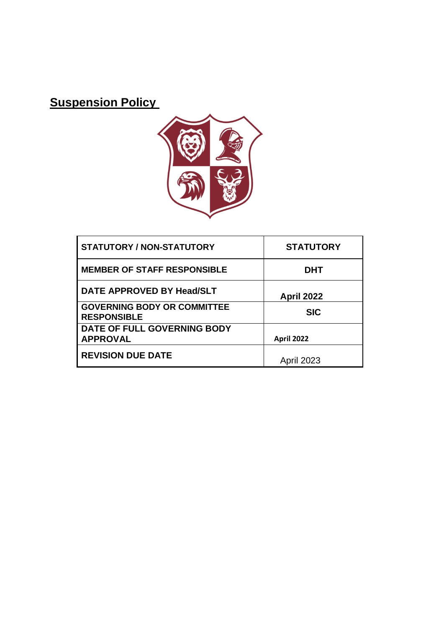# **Suspension Policy**



| <b>STATUTORY / NON-STATUTORY</b>                         | <b>STATUTORY</b>  |
|----------------------------------------------------------|-------------------|
| <b>MEMBER OF STAFF RESPONSIBLE</b>                       | <b>DHT</b>        |
| DATE APPROVED BY Head/SLT                                | April 2022        |
| <b>GOVERNING BODY OR COMMITTEE</b><br><b>RESPONSIBLE</b> | <b>SIC</b>        |
| DATE OF FULL GOVERNING BODY<br><b>APPROVAL</b>           | <b>April 2022</b> |
| <b>REVISION DUE DATE</b>                                 | April 2023        |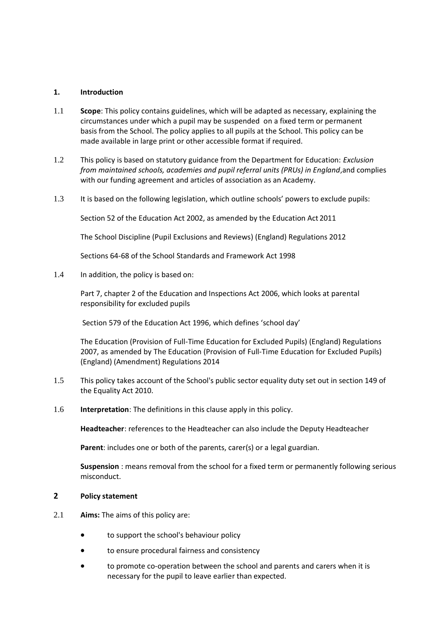# **1. Introduction**

- 1.1 **Scope**: This policy contains guidelines, which will be adapted as necessary, explaining the circumstances under which a pupil may be suspended on a fixed term or permanent basis from the School. The policy applies to all pupils at the School. This policy can be made available in large print or other accessible format if required.
- 1.2 This policy is based on statutory guidance from the Department for Education: *Exclusion from maintained schools, academies and pupil referral units (PRUs) in England*,and complies with our funding agreement and articles of association as an Academy.
- 1.3 It is based on the following legislation, which outline schools' powers to exclude pupils:

Section 52 of the Education Act 2002, as amended by the Education Act 2011

The School Discipline (Pupil Exclusions and Reviews) (England) Regulations 2012

Sections 64-68 of the School Standards and Framework Act 1998

1.4 In addition, the policy is based on:

Part 7, chapter 2 of the Education and Inspections Act 2006, which looks at parental responsibility for excluded pupils

Section 579 of the Education Act 1996, which defines 'school day'

The Education (Provision of Full-Time Education for Excluded Pupils) (England) Regulations 2007, as amended by The Education (Provision of Full-Time Education for Excluded Pupils) (England) (Amendment) Regulations 2014

- 1.5 This policy takes account of the School's public sector equality duty set out in section 149 of the Equality Act 2010.
- 1.6 **Interpretation**: The definitions in this clause apply in this policy.

**Headteacher**: references to the Headteacher can also include the Deputy Headteacher

**Parent**: includes one or both of the parents, carer(s) or a legal guardian.

**Suspension** : means removal from the school for a fixed term or permanently following serious misconduct.

## **2 Policy statement**

- 2.1 **Aims:** The aims of this policy are:
	- to support the school's behaviour policy
	- to ensure procedural fairness and consistency
	- to promote co-operation between the school and parents and carers when it is necessary for the pupil to leave earlier than expected.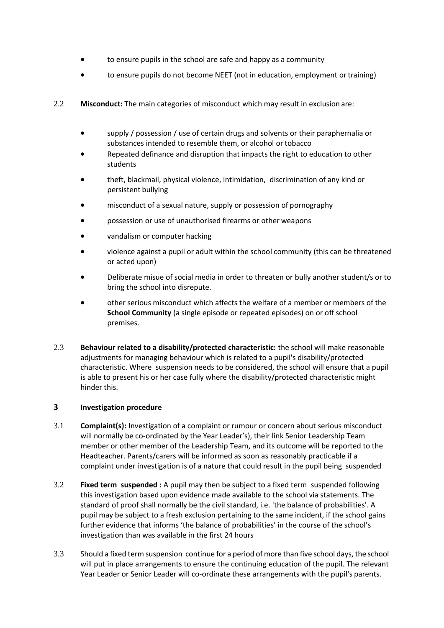- to ensure pupils in the school are safe and happy as a community
- to ensure pupils do not become NEET (not in education, employment or training)
- 2.2 **Misconduct:** The main categories of misconduct which may result in exclusion are:
	- supply / possession / use of certain drugs and solvents or their paraphernalia or substances intended to resemble them, or alcohol or tobacco
	- Repeated definance and disruption that impacts the right to education to other students
	- theft, blackmail, physical violence, intimidation, discrimination of any kind or persistent bullying
	- misconduct of a sexual nature, supply or possession of pornography
	- possession or use of unauthorised firearms or other weapons
	- vandalism or computer hacking
	- violence against a pupil or adult within the school community (this can be threatened or acted upon)
	- Deliberate misue of social media in order to threaten or bully another student/s or to bring the school into disrepute.
	- other serious misconduct which affects the welfare of a member or members of the **School Community** (a single episode or repeated episodes) on or off school premises.
- 2.3 **Behaviour related to a disability/protected characteristic:** the school will make reasonable adjustments for managing behaviour which is related to a pupil's disability/protected characteristic. Where suspension needs to be considered, the school will ensure that a pupil is able to present his or her case fully where the disability/protected characteristic might hinder this.

# **3 Investigation procedure**

- 3.1 **Complaint(s):** Investigation of a complaint or rumour or concern about serious misconduct will normally be co-ordinated by the Year Leader's), their link Senior Leadership Team member or other member of the Leadership Team, and its outcome will be reported to the Headteacher. Parents/carers will be informed as soon as reasonably practicable if a complaint under investigation is of a nature that could result in the pupil being suspended
- 3.2 **Fixed term suspended :** A pupil may then be subject to a fixed term suspended following this investigation based upon evidence made available to the school via statements. The standard of proof shall normally be the civil standard, i.e. 'the balance of probabilities'. A pupil may be subject to a fresh exclusion pertaining to the same incident, if the school gains further evidence that informs 'the balance of probabilities' in the course of the school's investigation than was available in the first 24 hours
- 3.3 Should a fixed term suspension continue for a period of more than five school days, the school will put in place arrangements to ensure the continuing education of the pupil. The relevant Year Leader or Senior Leader will co-ordinate these arrangements with the pupil's parents.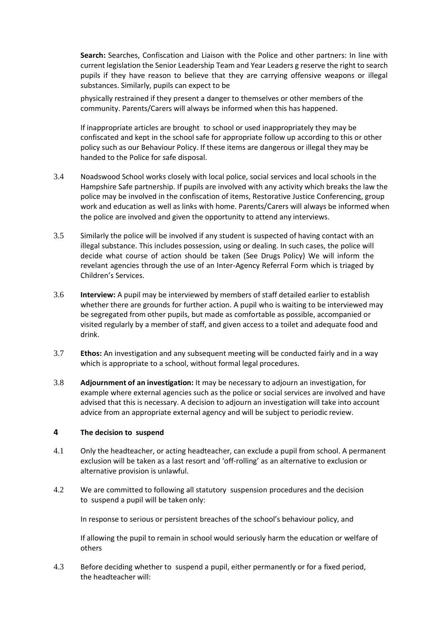**Search:** Searches, Confiscation and Liaison with the Police and other partners: In line with current legislation the Senior Leadership Team and Year Leaders g reserve the right to search pupils if they have reason to believe that they are carrying offensive weapons or illegal substances. Similarly, pupils can expect to be

physically restrained if they present a danger to themselves or other members of the community. Parents/Carers will always be informed when this has happened.

If inappropriate articles are brought to school or used inappropriately they may be confiscated and kept in the school safe for appropriate follow up according to this or other policy such as our Behaviour Policy. If these items are dangerous or illegal they may be handed to the Police for safe disposal.

- 3.4 Noadswood School works closely with local police, social services and local schools in the Hampshire Safe partnership. If pupils are involved with any activity which breaks the law the police may be involved in the confiscation of items, Restorative Justice Conferencing, group work and education as well as links with home. Parents/Carers will always be informed when the police are involved and given the opportunity to attend any interviews.
- 3.5 Similarly the police will be involved if any student is suspected of having contact with an illegal substance. This includes possession, using or dealing. In such cases, the police will decide what course of action should be taken (See Drugs Policy) We will inform the revelant agencies through the use of an Inter-Agency Referral Form which is triaged by Children's Services.
- 3.6 **Interview:** A pupil may be interviewed by members of staff detailed earlier to establish whether there are grounds for further action. A pupil who is waiting to be interviewed may be segregated from other pupils, but made as comfortable as possible, accompanied or visited regularly by a member of staff, and given access to a toilet and adequate food and drink.
- 3.7 **Ethos:** An investigation and any subsequent meeting will be conducted fairly and in a way which is appropriate to a school, without formal legal procedures.
- 3.8 **Adjournment of an investigation:** It may be necessary to adjourn an investigation, for example where external agencies such as the police or social services are involved and have advised that this is necessary. A decision to adjourn an investigation will take into account advice from an appropriate external agency and will be subject to periodic review.

## **4 The decision to suspend**

- 4.1 Only the headteacher, or acting headteacher, can exclude a pupil from school. A permanent exclusion will be taken as a last resort and 'off-rolling' as an alternative to exclusion or alternative provision is unlawful.
- 4.2 We are committed to following all statutory suspension procedures and the decision to suspend a pupil will be taken only:

In response to serious or persistent breaches of the school's behaviour policy, and

If allowing the pupil to remain in school would seriously harm the education or welfare of others

4.3 Before deciding whether to suspend a pupil, either permanently or for a fixed period, the headteacher will: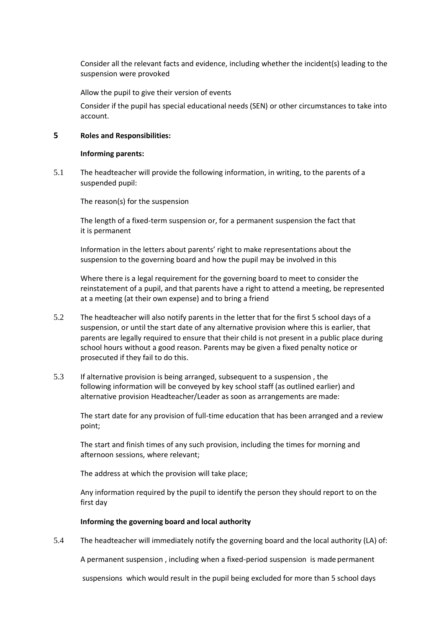Consider all the relevant facts and evidence, including whether the incident(s) leading to the suspension were provoked

Allow the pupil to give their version of events

Consider if the pupil has special educational needs (SEN) or other circumstances to take into account.

### **5 Roles and Responsibilities:**

#### **Informing parents:**

5.1 The headteacher will provide the following information, in writing, to the parents of a suspended pupil:

The reason(s) for the suspension

The length of a fixed-term suspension or, for a permanent suspension the fact that it is permanent

Information in the letters about parents' right to make representations about the suspension to the governing board and how the pupil may be involved in this

Where there is a legal requirement for the governing board to meet to consider the reinstatement of a pupil, and that parents have a right to attend a meeting, be represented at a meeting (at their own expense) and to bring a friend

- 5.2 The headteacher will also notify parents in the letter that for the first 5 school days of a suspension, or until the start date of any alternative provision where this is earlier, that parents are legally required to ensure that their child is not present in a public place during school hours without a good reason. Parents may be given a fixed penalty notice or prosecuted if they fail to do this.
- 5.3 If alternative provision is being arranged, subsequent to a suspension , the following information will be conveyed by key school staff (as outlined earlier) and alternative provision Headteacher/Leader as soon as arrangements are made:

The start date for any provision of full-time education that has been arranged and a review point;

The start and finish times of any such provision, including the times for morning and afternoon sessions, where relevant;

The address at which the provision will take place;

Any information required by the pupil to identify the person they should report to on the first day

#### **Informing the governing board and local authority**

5.4 The headteacher will immediately notify the governing board and the local authority (LA) of:

A permanent suspension , including when a fixed-period suspension is made permanent

suspensions which would result in the pupil being excluded for more than 5 school days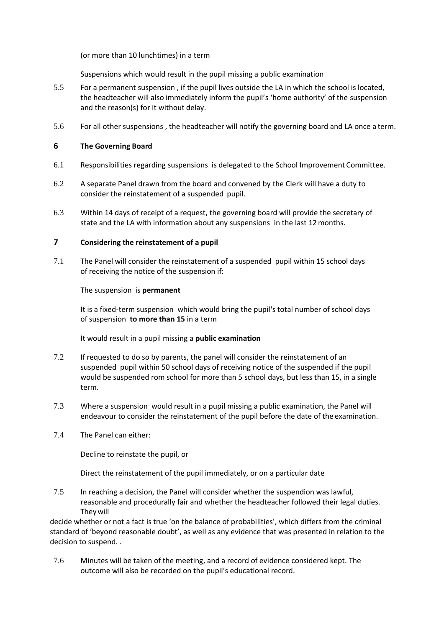(or more than 10 lunchtimes) in a term

Suspensions which would result in the pupil missing a public examination

- 5.5 For a permanent suspension , if the pupil lives outside the LA in which the school is located, the headteacher will also immediately inform the pupil's 'home authority' of the suspension and the reason(s) for it without delay.
- 5.6 For all other suspensions , the headteacher will notify the governing board and LA once a term.

# **6 The Governing Board**

- 6.1 Responsibilities regarding suspensions is delegated to the School Improvement Committee.
- 6.2 A separate Panel drawn from the board and convened by the Clerk will have a duty to consider the reinstatement of a suspended pupil.
- 6.3 Within 14 days of receipt of a request, the governing board will provide the secretary of state and the LA with information about any suspensions in the last 12months.

# **7 Considering the reinstatement of a pupil**

7.1 The Panel will consider the reinstatement of a suspended pupil within 15 school days of receiving the notice of the suspension if:

## The suspension is **permanent**

It is a fixed-term suspension which would bring the pupil's total number of school days of suspension **to more than 15** in a term

It would result in a pupil missing a **public examination**

- 7.2 If requested to do so by parents, the panel will consider the reinstatement of an suspended pupil within 50 school days of receiving notice of the suspended if the pupil would be suspended rom school for more than 5 school days, but less than 15, in a single term.
- 7.3 Where a suspension would result in a pupil missing a public examination, the Panel will endeavour to consider the reinstatement of the pupil before the date of the examination.
- 7.4 The Panel can either:

Decline to reinstate the pupil, or

Direct the reinstatement of the pupil immediately, or on a particular date

7.5 In reaching a decision, the Panel will consider whether the suspendion was lawful, reasonable and procedurally fair and whether the headteacher followed their legal duties. Theywill

decide whether or not a fact is true 'on the balance of probabilities', which differs from the criminal standard of 'beyond reasonable doubt', as well as any evidence that was presented in relation to the decision to suspend. .

7.6 Minutes will be taken of the meeting, and a record of evidence considered kept. The outcome will also be recorded on the pupil's educational record.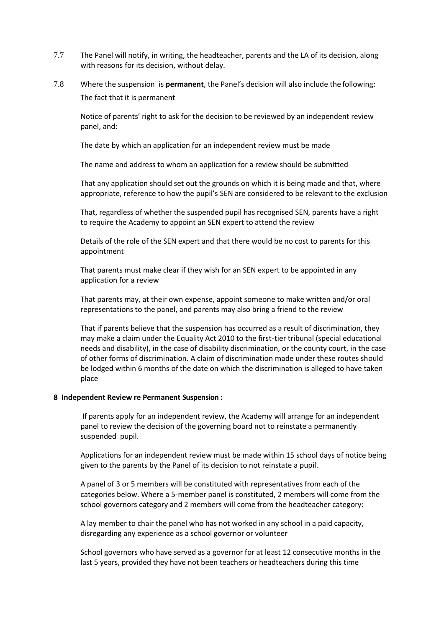- 7.7 The Panel will notify, in writing, the headteacher, parents and the LA of its decision, along with reasons for its decision, without delay.
- 7.8 Where the suspension is **permanent**, the Panel's decision will also include the following: The fact that it is permanent

Notice of parents' right to ask for the decision to be reviewed by an independent review panel, and:

The date by which an application for an independent review must be made

The name and address to whom an application for a review should be submitted

That any application should set out the grounds on which it is being made and that, where appropriate, reference to how the pupil's SEN are considered to be relevant to the exclusion

That, regardless of whether the suspended pupil has recognised SEN, parents have a right to require the Academy to appoint an SEN expert to attend the review

Details of the role of the SEN expert and that there would be no cost to parents for this appointment

That parents must make clear if they wish for an SEN expert to be appointed in any application for a review

That parents may, at their own expense, appoint someone to make written and/or oral representations to the panel, and parents may also bring a friend to the review

That if parents believe that the suspension has occurred as a result of discrimination, they may make a claim under the Equality Act 2010 to the first-tier tribunal (special educational needs and disability), in the case of disability discrimination, or the county court, in the case of other forms of discrimination. A claim of discrimination made under these routes should be lodged within 6 months of the date on which the discrimination is alleged to have taken place

#### **8 Independent Review re Permanent Suspension :**

If parents apply for an independent review, the Academy will arrange for an independent panel to review the decision of the governing board not to reinstate a permanently suspended pupil.

Applications for an independent review must be made within 15 school days of notice being given to the parents by the Panel of its decision to not reinstate a pupil.

A panel of 3 or 5 members will be constituted with representatives from each of the categories below. Where a 5-member panel is constituted, 2 members will come from the school governors category and 2 members will come from the headteacher category:

A lay member to chair the panel who has not worked in any school in a paid capacity, disregarding any experience as a school governor or volunteer

School governors who have served as a governor for at least 12 consecutive months in the last 5 years, provided they have not been teachers or headteachers during this time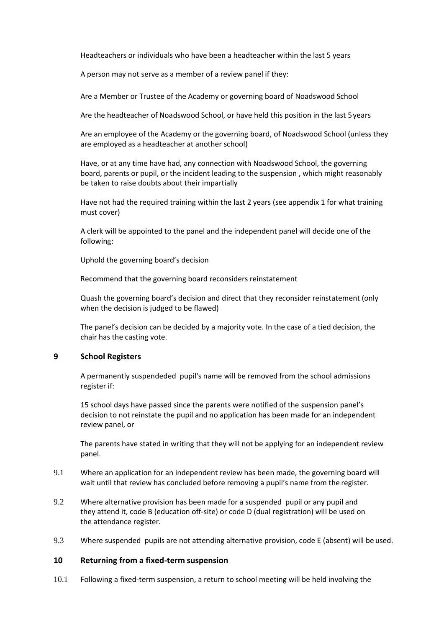Headteachers or individuals who have been a headteacher within the last 5 years

A person may not serve as a member of a review panel if they:

Are a Member or Trustee of the Academy or governing board of Noadswood School

Are the headteacher of Noadswood School, or have held this position in the last 5years

Are an employee of the Academy or the governing board, of Noadswood School (unless they are employed as a headteacher at another school)

Have, or at any time have had, any connection with Noadswood School, the governing board, parents or pupil, or the incident leading to the suspension , which might reasonably be taken to raise doubts about their impartially

Have not had the required training within the last 2 years (see appendix 1 for what training must cover)

A clerk will be appointed to the panel and the independent panel will decide one of the following:

Uphold the governing board's decision

Recommend that the governing board reconsiders reinstatement

Quash the governing board's decision and direct that they reconsider reinstatement (only when the decision is judged to be flawed)

The panel's decision can be decided by a majority vote. In the case of a tied decision, the chair has the casting vote.

# **9 School Registers**

A permanently suspendeded pupil's name will be removed from the school admissions register if:

15 school days have passed since the parents were notified of the suspension panel's decision to not reinstate the pupil and no application has been made for an independent review panel, or

The parents have stated in writing that they will not be applying for an independent review panel.

- 9.1 Where an application for an independent review has been made, the governing board will wait until that review has concluded before removing a pupil's name from the register.
- 9.2 Where alternative provision has been made for a suspended pupil or any pupil and they attend it, code B (education off-site) or code D (dual registration) will be used on the attendance register.
- 9.3 Where suspended pupils are not attending alternative provision, code E (absent) will be used.

# **10 Returning from a fixed-term suspension**

10.1 Following a fixed-term suspension, a return to school meeting will be held involving the